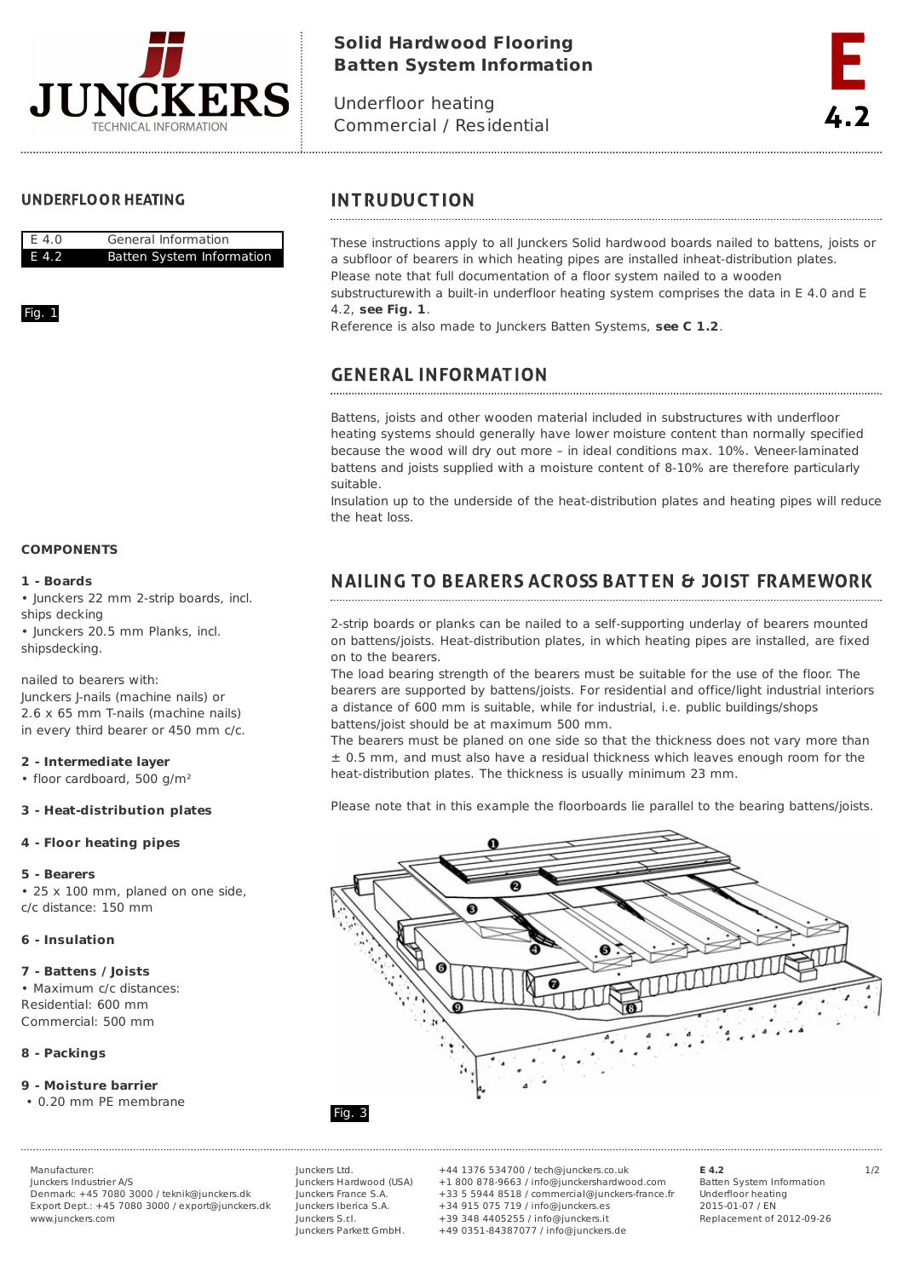

# **Solid Hardwood Flooring Batten System Information**

Underfloor heating Commercial / Residential

## **UNDERFLOOR HEATING**



### Fig. 1

### **COMPONENTS**

#### **1 - Boards**

• Junckers 22 mm 2-strip boards, incl. ships decking

• Junckers 20.5 mm Planks, incl. shipsdecking.

nailed to bearers with: Junckers J-nails (machine nails) or 2.6 x 65 mm T-nails (machine nails) in every third bearer or 450 mm c/c.

#### **2 - Intermediate layer**

• floor cardboard, 500 g/m²

#### **3 - Heat-distribution plates**

#### **4 - Floor heating pipes**

#### **5 - Bearers**

• 25 x 100 mm, planed on one side, c/c distance: 150 mm

#### **6 - Insulation**

#### **7 - Battens / Joists**

• Maximum c/c distances: Residential: 600 mm Commercial: 500 mm

## **8 - Packings**

#### **9 - Moisture barrier**

• 0.20 mm PE membrane

Junckers Industrier A/S Denmark: +45 7080 3000 / teknik@junckers.dk Export Dept.: +45 7080 3000 / export@junckers.dk www.junckers.com

Junckers Ltd. Junckers Hardwood (USA) Junckers France S.A. Junckers Iberica S.A. Junckers S.r.I. Junckers Parkett GmbH.

Manufacturer: Junckers Ltd. +44 1376 534700 / tech@junckers.co.uk **E 4.2** 1/2 +1 800 878-9663 / info@junckershardwood.com +33 5 5944 8518 / commercial@junckers-france.fr +34 915 075 719 / info@junckers.es +39 348 4405255 / info@junckers.it +49 0351-84387077 / info@junckers.de

**E 4.2** Batten System Information Underfloor heating 2015-01-07 / EN Replacement of 2012-09-26

## **INTRUDUCTION**

These instructions apply to all Junckers Solid hardwood boards nailed to battens, joists or a subfloor of bearers in which heating pipes are installed inheat-distribution plates. Please note that full documentation of a floor system nailed to a wooden substructurewith a built-in underfloor heating system comprises the data in E 4.0 and E 4.2, **see Fig. 1**.

Reference is also made to Junckers Batten Systems, **see C 1.2**.

# **GENERAL INFORMATION**

Battens, joists and other wooden material included in substructures with underfloor heating systems should generally have lower moisture content than normally specified because the wood will dry out more – in ideal conditions max. 10%. Veneer-laminated battens and joists supplied with a moisture content of 8-10% are therefore particularly suitable.

Insulation up to the underside of the heat-distribution plates and heating pipes will reduce the heat loss.

# **NAILING TO BEARERS ACROSS BATTEN & JOIST FRAMEWORK**

2-strip boards or planks can be nailed to a self-supporting underlay of bearers mounted on battens/joists. Heat-distribution plates, in which heating pipes are installed, are fixed on to the bearers.

The load bearing strength of the bearers must be suitable for the use of the floor. The bearers are supported by battens/joists. For residential and office/light industrial interiors a distance of 600 mm is suitable, while for industrial, i.e. public buildings/shops battens/joist should be at maximum 500 mm.

The bearers must be planed on one side so that the thickness does not vary more than  $\pm$  0.5 mm, and must also have a residual thickness which leaves enough room for the heat-distribution plates. The thickness is usually minimum 23 mm.

Please note that in this example the floorboards lie parallel to the bearing battens/joists.